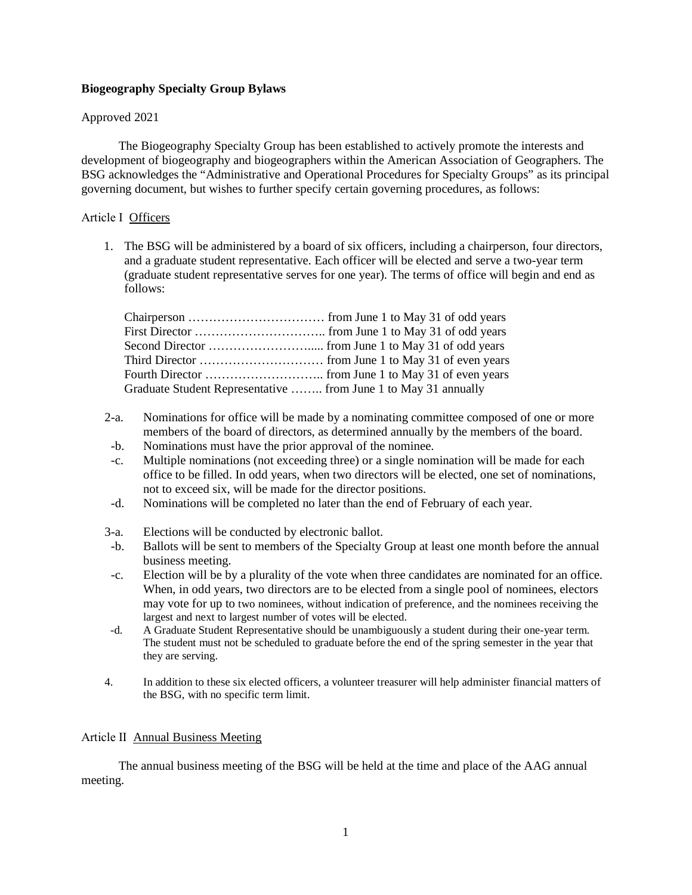### **Biogeography Specialty Group Bylaws**

### Approved 2021

The Biogeography Specialty Group has been established to actively promote the interests and development of biogeography and biogeographers within the American Association of Geographers. The BSG acknowledges the "Administrative and Operational Procedures for Specialty Groups" as its principal governing document, but wishes to further specify certain governing procedures, as follows:

### Article Ⅰ Officers

1. The BSG will be administered by a board of six officers, including a chairperson, four directors, and a graduate student representative. Each officer will be elected and serve a two-year term (graduate student representative serves for one year). The terms of office will begin and end as follows:

| Graduate Student Representative  from June 1 to May 31 annually |  |
|-----------------------------------------------------------------|--|

- 2-a. Nominations for office will be made by a nominating committee composed of one or more members of the board of directors, as determined annually by the members of the board.
- -b. Nominations must have the prior approval of the nominee.
- -c. Multiple nominations (not exceeding three) or a single nomination will be made for each office to be filled. In odd years, when two directors will be elected, one set of nominations, not to exceed six, will be made for the director positions.
- -d. Nominations will be completed no later than the end of February of each year.
- 3-a. Elections will be conducted by electronic ballot.
- -b. Ballots will be sent to members of the Specialty Group at least one month before the annual business meeting.
- -c. Election will be by a plurality of the vote when three candidates are nominated for an office. When, in odd years, two directors are to be elected from a single pool of nominees, electors may vote for up to two nominees, without indication of preference, and the nominees receiving the largest and next to largest number of votes will be elected.
- -d. A Graduate Student Representative should be unambiguously a student during their one-year term. The student must not be scheduled to graduate before the end of the spring semester in the year that they are serving.
- 4. In addition to these six elected officers, a volunteer treasurer will help administer financial matters of the BSG, with no specific term limit.

#### Article Ⅱ Annual Business Meeting

The annual business meeting of the BSG will be held at the time and place of the AAG annual meeting.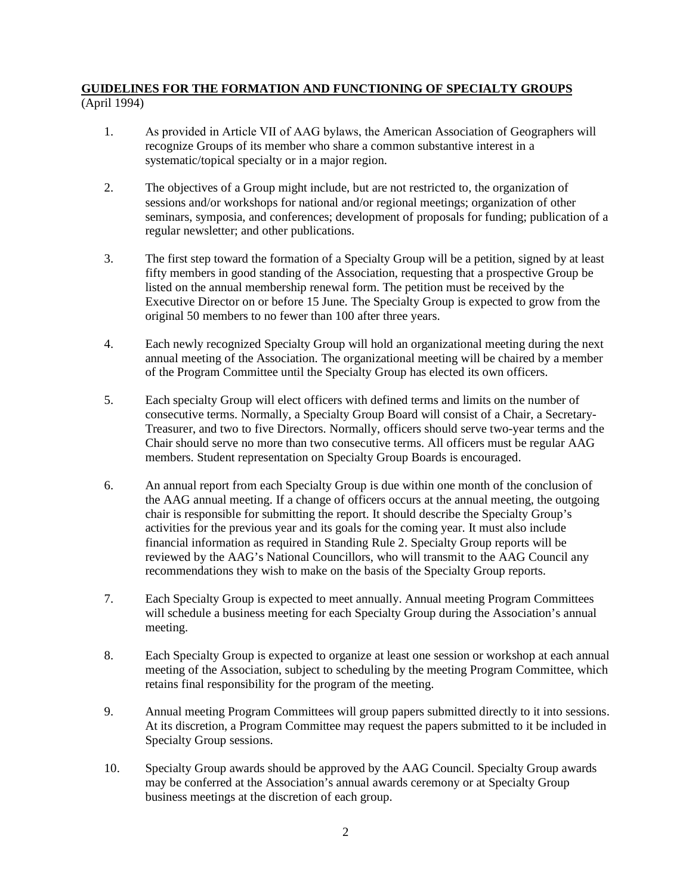### **GUIDELINES FOR THE FORMATION AND FUNCTIONING OF SPECIALTY GROUPS** (April 1994)

- 1. As provided in Article Ⅶ of AAG bylaws, the American Association of Geographers will recognize Groups of its member who share a common substantive interest in a systematic/topical specialty or in a major region.
- 2. The objectives of a Group might include, but are not restricted to, the organization of sessions and/or workshops for national and/or regional meetings; organization of other seminars, symposia, and conferences; development of proposals for funding; publication of a regular newsletter; and other publications.
- 3. The first step toward the formation of a Specialty Group will be a petition, signed by at least fifty members in good standing of the Association, requesting that a prospective Group be listed on the annual membership renewal form. The petition must be received by the Executive Director on or before 15 June. The Specialty Group is expected to grow from the original 50 members to no fewer than 100 after three years.
- 4. Each newly recognized Specialty Group will hold an organizational meeting during the next annual meeting of the Association. The organizational meeting will be chaired by a member of the Program Committee until the Specialty Group has elected its own officers.
- 5. Each specialty Group will elect officers with defined terms and limits on the number of consecutive terms. Normally, a Specialty Group Board will consist of a Chair, a Secretary-Treasurer, and two to five Directors. Normally, officers should serve two-year terms and the Chair should serve no more than two consecutive terms. All officers must be regular AAG members. Student representation on Specialty Group Boards is encouraged.
- 6. An annual report from each Specialty Group is due within one month of the conclusion of the AAG annual meeting. If a change of officers occurs at the annual meeting, the outgoing chair is responsible for submitting the report. It should describe the Specialty Group's activities for the previous year and its goals for the coming year. It must also include financial information as required in Standing Rule 2. Specialty Group reports will be reviewed by the AAG's National Councillors, who will transmit to the AAG Council any recommendations they wish to make on the basis of the Specialty Group reports.
- 7. Each Specialty Group is expected to meet annually. Annual meeting Program Committees will schedule a business meeting for each Specialty Group during the Association's annual meeting.
- 8. Each Specialty Group is expected to organize at least one session or workshop at each annual meeting of the Association, subject to scheduling by the meeting Program Committee, which retains final responsibility for the program of the meeting.
- 9. Annual meeting Program Committees will group papers submitted directly to it into sessions. At its discretion, a Program Committee may request the papers submitted to it be included in Specialty Group sessions.
- 10. Specialty Group awards should be approved by the AAG Council. Specialty Group awards may be conferred at the Association's annual awards ceremony or at Specialty Group business meetings at the discretion of each group.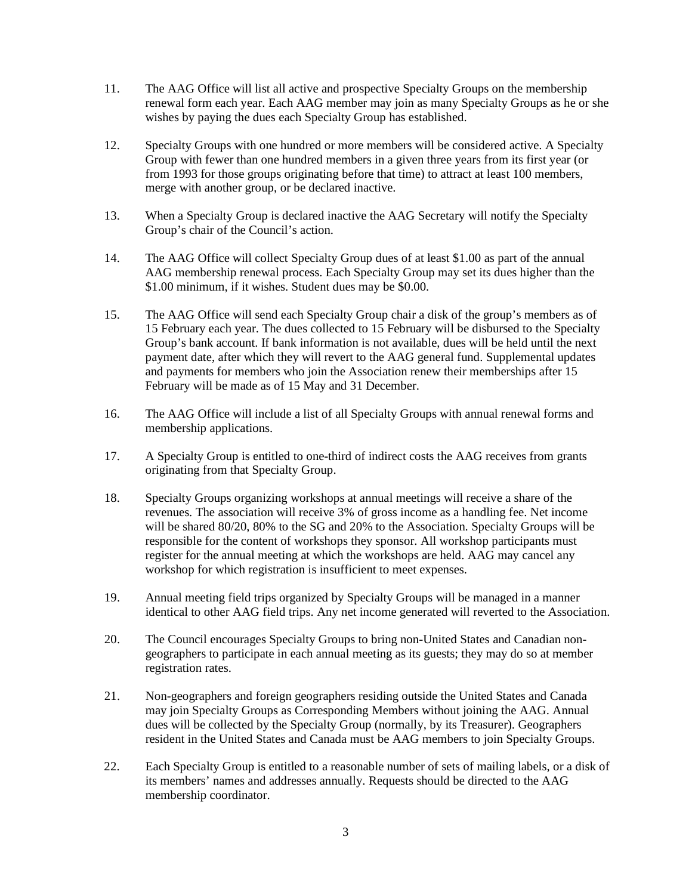- 11. The AAG Office will list all active and prospective Specialty Groups on the membership renewal form each year. Each AAG member may join as many Specialty Groups as he or she wishes by paying the dues each Specialty Group has established.
- 12. Specialty Groups with one hundred or more members will be considered active. A Specialty Group with fewer than one hundred members in a given three years from its first year (or from 1993 for those groups originating before that time) to attract at least 100 members, merge with another group, or be declared inactive.
- 13. When a Specialty Group is declared inactive the AAG Secretary will notify the Specialty Group's chair of the Council's action.
- 14. The AAG Office will collect Specialty Group dues of at least \$1.00 as part of the annual AAG membership renewal process. Each Specialty Group may set its dues higher than the \$1.00 minimum, if it wishes. Student dues may be \$0.00.
- 15. The AAG Office will send each Specialty Group chair a disk of the group's members as of 15 February each year. The dues collected to 15 February will be disbursed to the Specialty Group's bank account. If bank information is not available, dues will be held until the next payment date, after which they will revert to the AAG general fund. Supplemental updates and payments for members who join the Association renew their memberships after 15 February will be made as of 15 May and 31 December.
- 16. The AAG Office will include a list of all Specialty Groups with annual renewal forms and membership applications.
- 17. A Specialty Group is entitled to one-third of indirect costs the AAG receives from grants originating from that Specialty Group.
- 18. Specialty Groups organizing workshops at annual meetings will receive a share of the revenues. The association will receive 3% of gross income as a handling fee. Net income will be shared 80/20, 80% to the SG and 20% to the Association. Specialty Groups will be responsible for the content of workshops they sponsor. All workshop participants must register for the annual meeting at which the workshops are held. AAG may cancel any workshop for which registration is insufficient to meet expenses.
- 19. Annual meeting field trips organized by Specialty Groups will be managed in a manner identical to other AAG field trips. Any net income generated will reverted to the Association.
- 20. The Council encourages Specialty Groups to bring non-United States and Canadian nongeographers to participate in each annual meeting as its guests; they may do so at member registration rates.
- 21. Non-geographers and foreign geographers residing outside the United States and Canada may join Specialty Groups as Corresponding Members without joining the AAG. Annual dues will be collected by the Specialty Group (normally, by its Treasurer). Geographers resident in the United States and Canada must be AAG members to join Specialty Groups.
- 22. Each Specialty Group is entitled to a reasonable number of sets of mailing labels, or a disk of its members' names and addresses annually. Requests should be directed to the AAG membership coordinator.